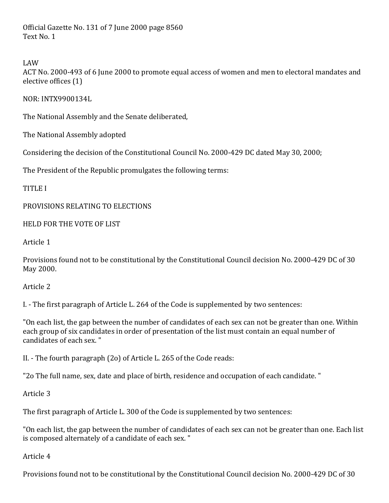Official Gazette No. 131 of 7 June 2000 page 8560 Text No. 1

LAW

ACT No. 2000-493 of 6 June 2000 to promote equal access of women and men to electoral mandates and elective offices (1)

NOR:'INTX9900134L

The National Assembly and the Senate deliberated,

The National Assembly adopted

Considering the decision of the Constitutional Council No. 2000-429 DC dated May 30, 2000;

The President of the Republic promulgates the following terms:

TITLE'I

PROVISIONS RELATING TO ELECTIONS

HELD FOR THE VOTE OF LIST

Article 1

Provisions' found' not to be constitutional by the Constitutional Council decision No. 2000-429 DC of 30 May 2000.

Article 2

I. - The first paragraph of Article L. 264 of the Code is supplemented by two sentences:

"On each list, the gap between the number of candidates of each sex can not be greater than one. Within' each group of six candidates in order of presentation of the list must contain an equal number of candidates of each sex."

II. - The fourth paragraph  $(2o)$  of Article L. 265 of the Code reads:

"2o The full name, sex, date and place of birth, residence and occupation of each candidate."

Article<sub>3</sub>

The first paragraph of Article L. 300 of the Code is supplemented by two sentences:

"On each list, the gap between the number of candidates of each sex can not be greater than one. Each list is composed alternately of a candidate of each sex."

Article 4

Provisions' found not to be constitutional by the Constitutional Council decision No. 2000-429 DC of 30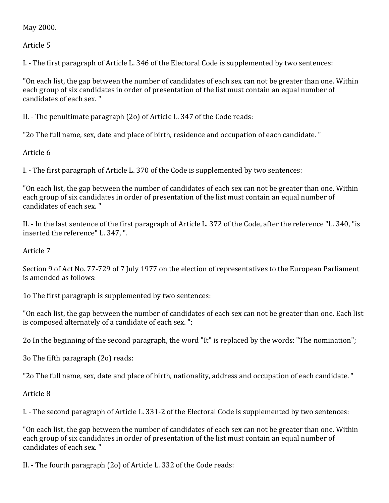May 2000.

Article<sub>5</sub>

I. - The first paragraph of Article L. 346 of the Electoral Code is supplemented by two sentences:

"On each list, the gap between the number of candidates of each sex can not be greater than one. Within' each group of six candidates in order of presentation of the list must contain an equal number of candidates of each sex."

II. - The penultimate paragraph (2o) of Article L. 347 of the Code reads:

"2o The full name, sex, date and place of birth, residence and occupation of each candidate."

Article 6

I. - The first paragraph of Article L. 370 of the Code is supplemented by two sentences:

"On each list, the gap between the number of candidates of each sex can not be greater than one. Within each group of six candidates in order of presentation of the list must contain an equal number of candidates of each sex."

II. - In the last sentence of the first paragraph of Article L. 372 of the Code, after the reference "L. 340, "is inserted the reference" L. 347, ".

Article'7

Section 9 of Act No. 77-729 of 7 July 1977 on the election of representatives to the European Parliament is amended as follows:

1o The first paragraph is supplemented by two sentences:

"On each list, the gap between the number of candidates of each sex can not be greater than one. Each list' is composed alternately of a candidate of each sex.";

2o In the beginning of the second paragraph, the word "It" is replaced by the words: "The nomination";

3o The fifth paragraph (2o) reads:

"2o The full name, sex, date and place of birth, nationality, address and occupation of each candidate."

Article 8

I. - The second paragraph of Article L. 331-2 of the Electoral Code is supplemented by two sentences:

"On each list, the gap between the number of candidates of each sex can not be greater than one. Within' each group of six candidates in order of presentation of the list must contain an equal number of candidates of each sex."

II. - The fourth paragraph (2o) of Article L. 332 of the Code reads: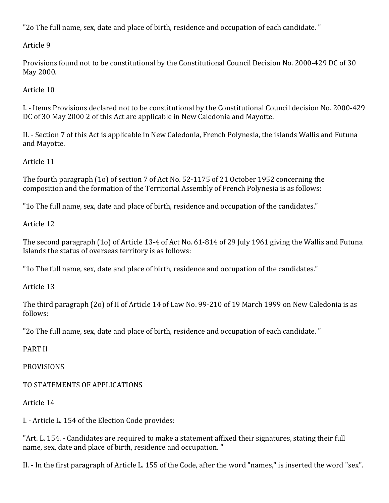"2o The full name, sex, date and place of birth, residence and occupation of each candidate."

Article 9

Provisions found not to be constitutional by the Constitutional Council Decision No. 2000-429 DC of 30 May 2000.

Article 10

I. - Items Provisions declared not to be constitutional by the Constitutional Council decision No. 2000-429 DC of 30 May 2000 2 of this Act are applicable in New Caledonia and Mayotte.

II. - Section 7 of this Act is applicable in New Caledonia, French Polynesia, the islands Wallis and Futuna' and'Mayotte.

Article 11

The fourth paragraph  $(1o)$  of section 7 of Act No. 52-1175 of 21 October 1952 concerning the composition and the formation of the Territorial Assembly of French Polynesia is as follows:

"1o The full name, sex, date and place of birth, residence and occupation of the candidates."

Article 12

The second paragraph (1o) of Article 13-4 of Act No.  $61-814$  of 29 July 1961 giving the Wallis and Futuna Islands the status of overseas territory is as follows:

"1o The full name, sex, date and place of birth, residence and occupation of the candidates."

Article 13

The third paragraph (2o) of II of Article 14 of Law No. 99-210 of 19 March 1999 on New Caledonia is as follows:

"2o The full name, sex, date and place of birth, residence and occupation of each candidate."

PART'II

PROVISIONS

TO STATEMENTS OF APPLICATIONS

Article'14

I. - Article L. 154 of the Election Code provides:

"Art. L. 154. - Candidates are required to make a statement affixed their signatures, stating their full' name, sex, date and place of birth, residence and occupation."

II. - In the first paragraph of Article L. 155 of the Code, after the word "names," is inserted the word "sex".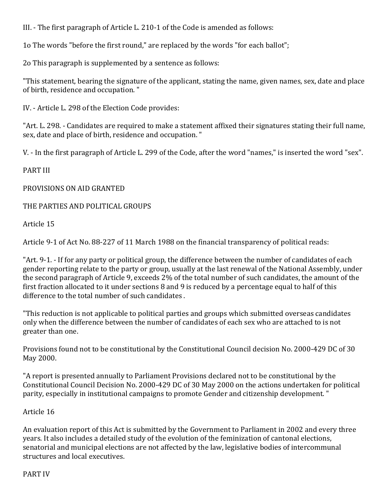III. - The first paragraph of Article L. 210-1 of the Code is amended as follows:

1o The words "before the first round," are replaced by the words "for each ballot";

2o This paragraph is supplemented by a sentence as follows:

"This statement, bearing the signature of the applicant, stating the name, given names, sex, date and place of birth, residence and occupation."

IV. - Article L. 298 of the Election Code provides:

"Art. L. 298. - Candidates are required to make a statement affixed their signatures stating their full name, sex, date and place of birth, residence and occupation."

V. - In the first paragraph of Article L. 299 of the Code, after the word "names," is inserted the word "sex".

PART'III

PROVISIONS ON AID GRANTED

THE PARTIES AND POLITICAL GROUPS

Article 15

Article 9-1 of Act No. 88-227 of 11 March 1988 on the financial transparency of political reads:

"Art. 9-1. - If for any party or political group, the difference between the number of candidates of each gender reporting relate to the party or group, usually at the last renewal of the National Assembly, under the second paragraph of Article 9, exceeds 2% of the total number of such candidates, the amount of the first fraction allocated to it under sections 8 and 9 is reduced by a percentage equal to half of this difference to the total number of such candidates.

"This reduction is not applicable to political parties and groups which submitted overseas candidates only when the difference between the number of candidates of each sex who are attached to is not greater than one.

Provisions found not to be constitutional by the Constitutional Council decision No. 2000-429 DC of 30 May 2000.

"A report is presented annually to Parliament Provisions declared not to be constitutional by the Constitutional Council Decision No. 2000-429 DC of 30 May 2000 on the actions undertaken for political parity, especially in institutional campaigns to promote Gender and citizenship development."

## Article 16

An evaluation report of this Act is submitted by the Government to Parliament in 2002 and every three years. It also includes a detailed study of the evolution of the feminization of cantonal elections, senatorial and municipal elections are not affected by the law, legislative bodies of intercommunal structures and local executives.

## PART'IV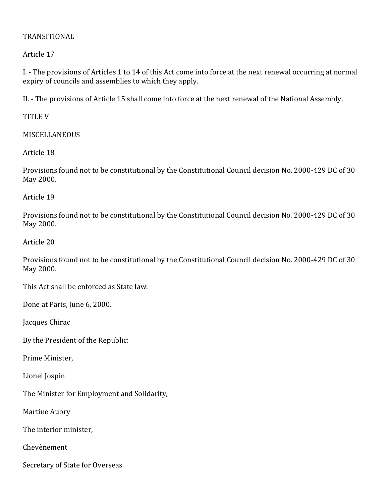## TRANSITIONAL

Article'17

I. - The provisions of Articles 1 to 14 of this Act come into force at the next renewal occurring at normal expiry of councils and assemblies to which they apply.

II. - The provisions of Article 15 shall come into force at the next renewal of the National Assembly.

TITLE'V

MISCELLANEOUS

Article 18

Provisions found not to be constitutional by the Constitutional Council decision No. 2000-429 DC of 30 May 2000.

Article 19

Provisions found not to be constitutional by the Constitutional Council decision No. 2000-429 DC of 30 May 2000.

Article 20

Provisions found not to be constitutional by the Constitutional Council decision No. 2000-429 DC of 30 May 2000.

This Act shall be enforced as State law.

Done at Paris, June 6, 2000.

Jacques Chirac

By the President of the Republic:

Prime Minister,

Lionel'Jospin

The Minister for Employment and Solidarity,

Martine Aubry

The interior minister,

Chevènement

Secretary of State for Overseas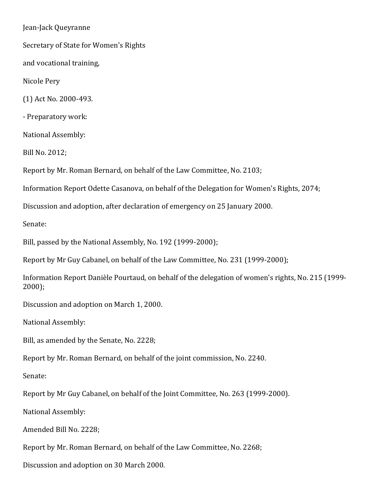Jean-Jack Queyranne

Secretary of State for Women's Rights

and vocational training,

Nicole Pery

(1) Act No. 2000-493.

- Preparatory work:

National Assembly:

Bill No. 2012;

Report by Mr. Roman Bernard, on behalf of the Law Committee, No. 2103;

Information Report Odette Casanova, on behalf of the Delegation for Women's Rights, 2074;

Discussion and adoption, after declaration of emergency on 25 January 2000.

Senate:

Bill, passed by the National Assembly, No. 192 (1999-2000);

Report by Mr Guy Cabanel, on behalf of the Law Committee, No. 231 (1999-2000);

Information Report Danièle Pourtaud, on behalf of the delegation of women's rights, No. 215 (1999-2000);

Discussion and adoption on March 1, 2000.

National Assembly:

Bill, as amended by the Senate, No. 2228;

Report by Mr. Roman Bernard, on behalf of the joint commission, No. 2240.

Senate:

Report by Mr Guy Cabanel, on behalf of the Joint Committee, No. 263 (1999-2000).

National Assembly:

Amended Bill No. 2228;

Report by Mr. Roman Bernard, on behalf of the Law Committee, No. 2268;

Discussion and adoption on 30 March 2000.